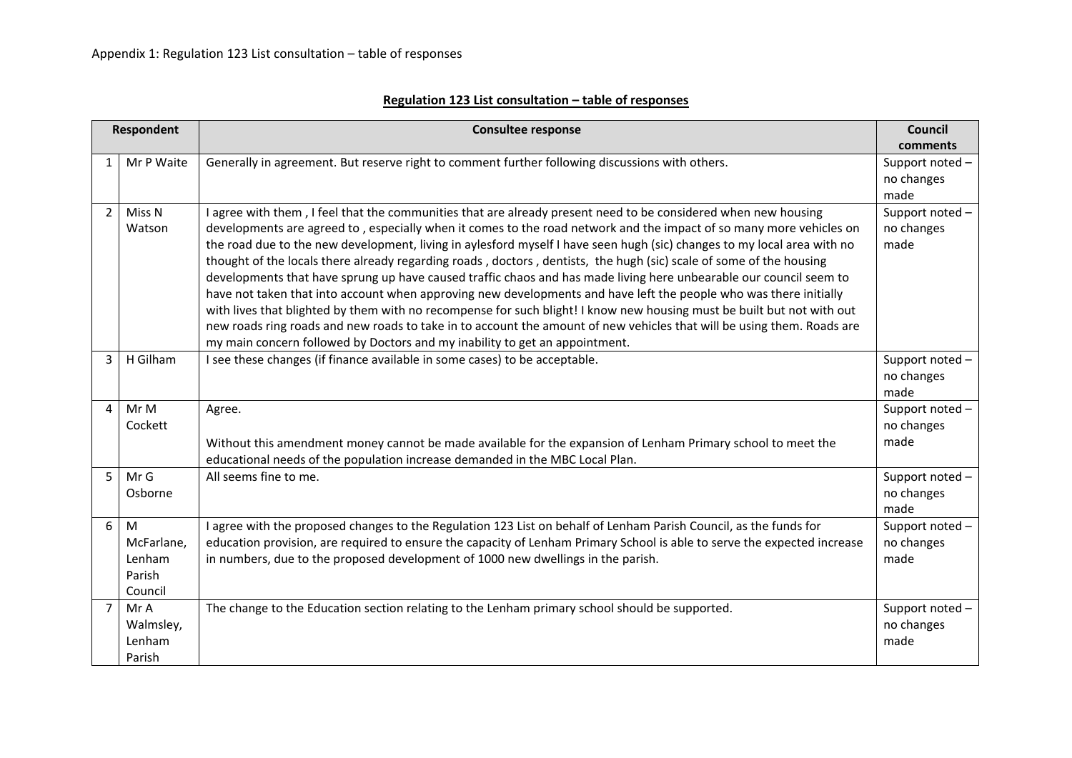| Regulation 123 List consultation - table of responses |  |
|-------------------------------------------------------|--|
|-------------------------------------------------------|--|

|                | <b>Respondent</b>                              | <b>Consultee response</b>                                                                                                                                                                                                                                                                                                                                                                                                                                                                                                                                                                                                                                                                                                                                                                                                                                                                                                                                                                                                                                             | <b>Council</b><br>comments           |
|----------------|------------------------------------------------|-----------------------------------------------------------------------------------------------------------------------------------------------------------------------------------------------------------------------------------------------------------------------------------------------------------------------------------------------------------------------------------------------------------------------------------------------------------------------------------------------------------------------------------------------------------------------------------------------------------------------------------------------------------------------------------------------------------------------------------------------------------------------------------------------------------------------------------------------------------------------------------------------------------------------------------------------------------------------------------------------------------------------------------------------------------------------|--------------------------------------|
| 1              | Mr P Waite                                     | Generally in agreement. But reserve right to comment further following discussions with others.                                                                                                                                                                                                                                                                                                                                                                                                                                                                                                                                                                                                                                                                                                                                                                                                                                                                                                                                                                       | Support noted-<br>no changes<br>made |
| $\overline{2}$ | Miss N<br>Watson                               | I agree with them, I feel that the communities that are already present need to be considered when new housing<br>developments are agreed to, especially when it comes to the road network and the impact of so many more vehicles on<br>the road due to the new development, living in aylesford myself I have seen hugh (sic) changes to my local area with no<br>thought of the locals there already regarding roads, doctors, dentists, the hugh (sic) scale of some of the housing<br>developments that have sprung up have caused traffic chaos and has made living here unbearable our council seem to<br>have not taken that into account when approving new developments and have left the people who was there initially<br>with lives that blighted by them with no recompense for such blight! I know new housing must be built but not with out<br>new roads ring roads and new roads to take in to account the amount of new vehicles that will be using them. Roads are<br>my main concern followed by Doctors and my inability to get an appointment. | Support noted-<br>no changes<br>made |
| 3              | H Gilham                                       | I see these changes (if finance available in some cases) to be acceptable.                                                                                                                                                                                                                                                                                                                                                                                                                                                                                                                                                                                                                                                                                                                                                                                                                                                                                                                                                                                            | Support noted-<br>no changes<br>made |
| 4              | Mr M<br>Cockett                                | Agree.<br>Without this amendment money cannot be made available for the expansion of Lenham Primary school to meet the<br>educational needs of the population increase demanded in the MBC Local Plan.                                                                                                                                                                                                                                                                                                                                                                                                                                                                                                                                                                                                                                                                                                                                                                                                                                                                | Support noted-<br>no changes<br>made |
| 5              | Mr G<br>Osborne                                | All seems fine to me.                                                                                                                                                                                                                                                                                                                                                                                                                                                                                                                                                                                                                                                                                                                                                                                                                                                                                                                                                                                                                                                 | Support noted-<br>no changes<br>made |
| 6              | M<br>McFarlane,<br>Lenham<br>Parish<br>Council | I agree with the proposed changes to the Regulation 123 List on behalf of Lenham Parish Council, as the funds for<br>education provision, are required to ensure the capacity of Lenham Primary School is able to serve the expected increase<br>in numbers, due to the proposed development of 1000 new dwellings in the parish.                                                                                                                                                                                                                                                                                                                                                                                                                                                                                                                                                                                                                                                                                                                                     | Support noted-<br>no changes<br>made |
| $\overline{7}$ | Mr A<br>Walmsley,<br>Lenham<br>Parish          | The change to the Education section relating to the Lenham primary school should be supported.                                                                                                                                                                                                                                                                                                                                                                                                                                                                                                                                                                                                                                                                                                                                                                                                                                                                                                                                                                        | Support noted-<br>no changes<br>made |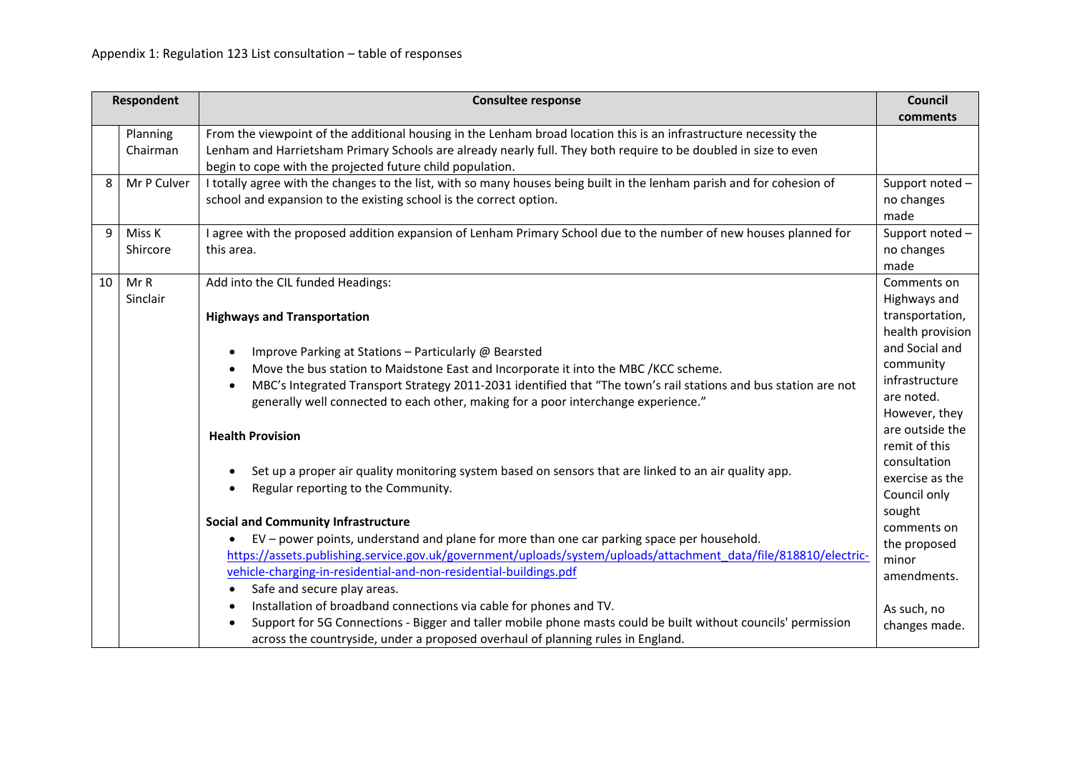|    | <b>Respondent</b>                   | <b>Consultee response</b>                                                                                              | Council          |
|----|-------------------------------------|------------------------------------------------------------------------------------------------------------------------|------------------|
|    |                                     |                                                                                                                        | comments         |
|    | Planning                            | From the viewpoint of the additional housing in the Lenham broad location this is an infrastructure necessity the      |                  |
|    | Chairman                            | Lenham and Harrietsham Primary Schools are already nearly full. They both require to be doubled in size to even        |                  |
|    |                                     | begin to cope with the projected future child population.                                                              |                  |
| 8  | Mr P Culver                         | I totally agree with the changes to the list, with so many houses being built in the lenham parish and for cohesion of | Support noted-   |
|    |                                     | school and expansion to the existing school is the correct option.                                                     | no changes       |
|    |                                     |                                                                                                                        | made             |
| 9  | Miss K                              | I agree with the proposed addition expansion of Lenham Primary School due to the number of new houses planned for      | Support noted-   |
|    | Shircore                            | this area.                                                                                                             | no changes       |
|    |                                     |                                                                                                                        | made             |
| 10 | Mr R                                | Add into the CIL funded Headings:                                                                                      | Comments on      |
|    | Sinclair                            |                                                                                                                        | Highways and     |
|    |                                     | <b>Highways and Transportation</b>                                                                                     | transportation,  |
|    |                                     |                                                                                                                        | health provision |
|    |                                     | Improve Parking at Stations - Particularly @ Bearsted                                                                  | and Social and   |
|    |                                     | Move the bus station to Maidstone East and Incorporate it into the MBC /KCC scheme.                                    | community        |
|    |                                     | MBC's Integrated Transport Strategy 2011-2031 identified that "The town's rail stations and bus station are not        | infrastructure   |
|    |                                     | generally well connected to each other, making for a poor interchange experience."                                     | are noted.       |
|    |                                     |                                                                                                                        | However, they    |
|    |                                     | <b>Health Provision</b>                                                                                                | are outside the  |
|    |                                     |                                                                                                                        | remit of this    |
|    |                                     | Set up a proper air quality monitoring system based on sensors that are linked to an air quality app.                  | consultation     |
|    | Regular reporting to the Community. | exercise as the                                                                                                        |                  |
|    |                                     |                                                                                                                        | Council only     |
|    |                                     |                                                                                                                        | sought           |
|    |                                     | <b>Social and Community Infrastructure</b>                                                                             | comments on      |
|    |                                     | EV - power points, understand and plane for more than one car parking space per household.                             | the proposed     |
|    |                                     | https://assets.publishing.service.gov.uk/government/uploads/system/uploads/attachment_data/file/818810/electric-       | minor            |
|    |                                     | vehicle-charging-in-residential-and-non-residential-buildings.pdf                                                      | amendments.      |
|    |                                     | Safe and secure play areas.                                                                                            |                  |
|    |                                     | Installation of broadband connections via cable for phones and TV.                                                     | As such, no      |
|    |                                     | Support for 5G Connections - Bigger and taller mobile phone masts could be built without councils' permission          | changes made.    |
|    |                                     | across the countryside, under a proposed overhaul of planning rules in England.                                        |                  |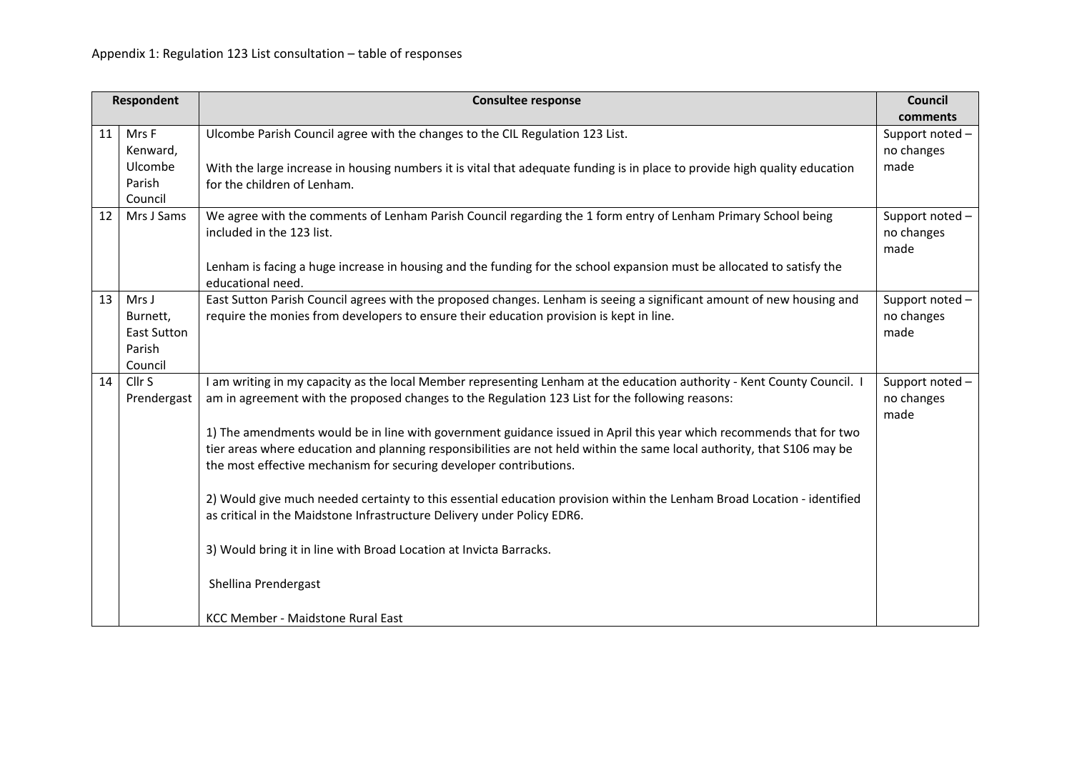|    | <b>Respondent</b>                                     | <b>Consultee response</b>                                                                                                                                                                                                                                                                                                                                                                                                                                                                                                                                                                                                                                                                                                                                                                                                                                                                   | <b>Council</b><br>comments            |
|----|-------------------------------------------------------|---------------------------------------------------------------------------------------------------------------------------------------------------------------------------------------------------------------------------------------------------------------------------------------------------------------------------------------------------------------------------------------------------------------------------------------------------------------------------------------------------------------------------------------------------------------------------------------------------------------------------------------------------------------------------------------------------------------------------------------------------------------------------------------------------------------------------------------------------------------------------------------------|---------------------------------------|
| 11 | Mrs F<br>Kenward,<br>Ulcombe<br>Parish<br>Council     | Ulcombe Parish Council agree with the changes to the CIL Regulation 123 List.<br>With the large increase in housing numbers it is vital that adequate funding is in place to provide high quality education<br>for the children of Lenham.                                                                                                                                                                                                                                                                                                                                                                                                                                                                                                                                                                                                                                                  | Support noted -<br>no changes<br>made |
| 12 | Mrs J Sams                                            | We agree with the comments of Lenham Parish Council regarding the 1 form entry of Lenham Primary School being<br>included in the 123 list.<br>Lenham is facing a huge increase in housing and the funding for the school expansion must be allocated to satisfy the<br>educational need.                                                                                                                                                                                                                                                                                                                                                                                                                                                                                                                                                                                                    | Support noted-<br>no changes<br>made  |
| 13 | Mrs J<br>Burnett,<br>East Sutton<br>Parish<br>Council | East Sutton Parish Council agrees with the proposed changes. Lenham is seeing a significant amount of new housing and<br>require the monies from developers to ensure their education provision is kept in line.                                                                                                                                                                                                                                                                                                                                                                                                                                                                                                                                                                                                                                                                            | Support noted-<br>no changes<br>made  |
| 14 | Cllr <sub>S</sub><br>Prendergast                      | I am writing in my capacity as the local Member representing Lenham at the education authority - Kent County Council. I<br>am in agreement with the proposed changes to the Regulation 123 List for the following reasons:<br>1) The amendments would be in line with government guidance issued in April this year which recommends that for two<br>tier areas where education and planning responsibilities are not held within the same local authority, that S106 may be<br>the most effective mechanism for securing developer contributions.<br>2) Would give much needed certainty to this essential education provision within the Lenham Broad Location - identified<br>as critical in the Maidstone Infrastructure Delivery under Policy EDR6.<br>3) Would bring it in line with Broad Location at Invicta Barracks.<br>Shellina Prendergast<br>KCC Member - Maidstone Rural East | Support noted -<br>no changes<br>made |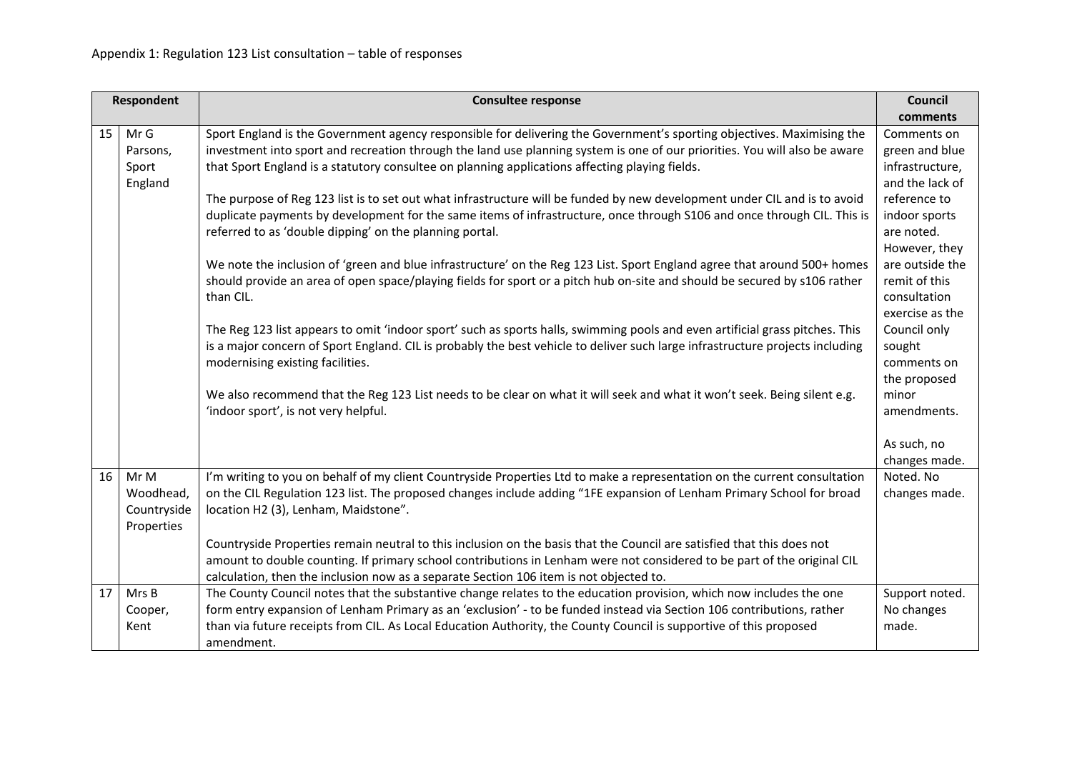| <b>Respondent</b> |                  | <b>Consultee response</b>                                                                                                                                                                                                                    | Council                           |
|-------------------|------------------|----------------------------------------------------------------------------------------------------------------------------------------------------------------------------------------------------------------------------------------------|-----------------------------------|
|                   |                  |                                                                                                                                                                                                                                              | comments                          |
| 15                | Mr G             | Sport England is the Government agency responsible for delivering the Government's sporting objectives. Maximising the                                                                                                                       | Comments on                       |
|                   | Parsons,         | investment into sport and recreation through the land use planning system is one of our priorities. You will also be aware                                                                                                                   | green and blue<br>infrastructure, |
|                   | Sport<br>England | that Sport England is a statutory consultee on planning applications affecting playing fields.                                                                                                                                               | and the lack of                   |
|                   |                  | The purpose of Reg 123 list is to set out what infrastructure will be funded by new development under CIL and is to avoid                                                                                                                    | reference to                      |
|                   |                  | duplicate payments by development for the same items of infrastructure, once through S106 and once through CIL. This is                                                                                                                      | indoor sports                     |
|                   |                  | referred to as 'double dipping' on the planning portal.                                                                                                                                                                                      | are noted.                        |
|                   |                  |                                                                                                                                                                                                                                              | However, they                     |
|                   |                  | We note the inclusion of 'green and blue infrastructure' on the Reg 123 List. Sport England agree that around 500+ homes                                                                                                                     | are outside the                   |
|                   |                  | should provide an area of open space/playing fields for sport or a pitch hub on-site and should be secured by s106 rather                                                                                                                    | remit of this                     |
|                   |                  | than CIL.                                                                                                                                                                                                                                    | consultation                      |
|                   |                  |                                                                                                                                                                                                                                              | exercise as the                   |
|                   |                  | The Reg 123 list appears to omit 'indoor sport' such as sports halls, swimming pools and even artificial grass pitches. This                                                                                                                 | Council only                      |
|                   |                  | is a major concern of Sport England. CIL is probably the best vehicle to deliver such large infrastructure projects including                                                                                                                | sought                            |
|                   |                  | modernising existing facilities.                                                                                                                                                                                                             | comments on                       |
|                   |                  |                                                                                                                                                                                                                                              | the proposed                      |
|                   |                  | We also recommend that the Reg 123 List needs to be clear on what it will seek and what it won't seek. Being silent e.g.                                                                                                                     | minor                             |
|                   |                  | 'indoor sport', is not very helpful.                                                                                                                                                                                                         | amendments.                       |
|                   |                  |                                                                                                                                                                                                                                              |                                   |
|                   |                  |                                                                                                                                                                                                                                              | As such, no                       |
|                   |                  |                                                                                                                                                                                                                                              | changes made.                     |
| 16                | Mr M             | I'm writing to you on behalf of my client Countryside Properties Ltd to make a representation on the current consultation                                                                                                                    | Noted. No                         |
|                   | Woodhead,        | on the CIL Regulation 123 list. The proposed changes include adding "1FE expansion of Lenham Primary School for broad                                                                                                                        | changes made.                     |
|                   | Countryside      | location H2 (3), Lenham, Maidstone".                                                                                                                                                                                                         |                                   |
|                   | Properties       |                                                                                                                                                                                                                                              |                                   |
|                   |                  | Countryside Properties remain neutral to this inclusion on the basis that the Council are satisfied that this does not                                                                                                                       |                                   |
|                   |                  | amount to double counting. If primary school contributions in Lenham were not considered to be part of the original CIL                                                                                                                      |                                   |
| 17                |                  | calculation, then the inclusion now as a separate Section 106 item is not objected to.                                                                                                                                                       |                                   |
|                   | Mrs B            | The County Council notes that the substantive change relates to the education provision, which now includes the one<br>form entry expansion of Lenham Primary as an 'exclusion' - to be funded instead via Section 106 contributions, rather | Support noted.<br>No changes      |
|                   | Cooper,<br>Kent  | than via future receipts from CIL. As Local Education Authority, the County Council is supportive of this proposed                                                                                                                           | made.                             |
|                   |                  |                                                                                                                                                                                                                                              |                                   |